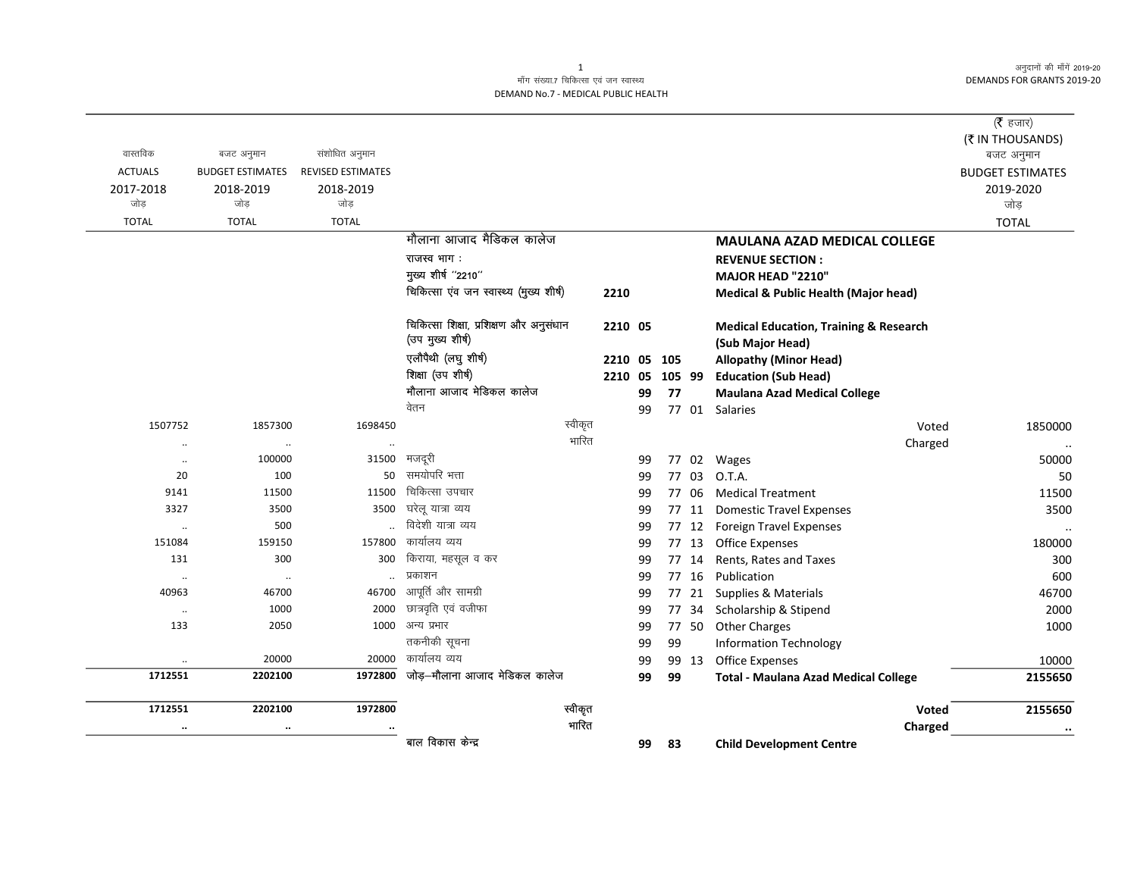अनुदानों की माँगें 2019-20 **DEMANDS FOR GRANTS 2019-20** 

 $\overline{\phantom{0}}$ 

## माँग संख्या.7 चिकित्सा एवं जन स्वास्थ्य DEMAND No.7 - MEDICAL PUBLIC HEALTH

| वास्तविक<br><b>ACTUALS</b><br>2017-2018<br>जोड | बजट अनुमान<br><b>BUDGET ESTIMATES</b><br>2018-2019<br>जोड | संशोधित अनुमान<br><b>REVISED ESTIMATES</b><br>2018-2019<br>जोड |                                                            |                |    |    |       |                                                                       | ( $\bar{\tau}$ हजार)<br>(₹ IN THOUSANDS)<br>बजट अनुमान<br><b>BUDGET ESTIMATES</b><br>2019-2020<br>जोड़ |
|------------------------------------------------|-----------------------------------------------------------|----------------------------------------------------------------|------------------------------------------------------------|----------------|----|----|-------|-----------------------------------------------------------------------|--------------------------------------------------------------------------------------------------------|
| <b>TOTAL</b>                                   | <b>TOTAL</b>                                              | <b>TOTAL</b>                                                   |                                                            |                |    |    |       |                                                                       | <b>TOTAL</b>                                                                                           |
|                                                |                                                           |                                                                | मौलाना आजाद मैडिकल कालेज                                   |                |    |    |       | <b>MAULANA AZAD MEDICAL COLLEGE</b>                                   |                                                                                                        |
|                                                |                                                           |                                                                | राजस्व भाग:                                                |                |    |    |       | <b>REVENUE SECTION:</b>                                               |                                                                                                        |
|                                                |                                                           |                                                                | मुख्य शीर्ष "2210"                                         |                |    |    |       | MAJOR HEAD "2210"                                                     |                                                                                                        |
|                                                |                                                           |                                                                | चिकित्सा एंव जन स्वास्थ्य (मुख्य शीर्ष)                    | 2210           |    |    |       | <b>Medical &amp; Public Health (Major head)</b>                       |                                                                                                        |
|                                                |                                                           |                                                                | चिकित्सा शिक्षा, प्रशिक्षण और अनुसंधान<br>(उप मुख्य शीर्ष) | 2210 05        |    |    |       | <b>Medical Education, Training &amp; Research</b><br>(Sub Major Head) |                                                                                                        |
|                                                |                                                           |                                                                | एलौपैथी (लघु शीर्ष)                                        | 2210 05 105    |    |    |       | <b>Allopathy (Minor Head)</b>                                         |                                                                                                        |
|                                                |                                                           |                                                                | शिक्षा (उप शीर्ष)                                          | 2210 05 105 99 |    |    |       | <b>Education (Sub Head)</b>                                           |                                                                                                        |
|                                                |                                                           |                                                                | मौलाना आजाद मेडिकल कालेज                                   |                | 99 | 77 |       | <b>Maulana Azad Medical College</b>                                   |                                                                                                        |
|                                                |                                                           |                                                                | वेतन                                                       |                | 99 |    |       | 77 01 Salaries                                                        |                                                                                                        |
| 1507752                                        | 1857300                                                   | 1698450                                                        | स्वीकृत                                                    |                |    |    |       | Voted                                                                 | 1850000                                                                                                |
| $\cdot$ .                                      | $\ddot{\phantom{0}}$                                      | $\ddotsc$                                                      | भारित                                                      |                |    |    |       | Charged                                                               | $\ddot{\phantom{a}}$                                                                                   |
| $\ddotsc$                                      | 100000                                                    | 31500                                                          | मजदूरी                                                     |                | 99 |    |       | 77 02 Wages                                                           | 50000                                                                                                  |
| 20                                             | 100                                                       | 50                                                             | समयोपरि भत्ता                                              |                | 99 | 77 | 03    | O.T.A.                                                                | 50                                                                                                     |
| 9141                                           | 11500                                                     | 11500                                                          | चिकित्सा उपचार                                             |                | 99 |    | 77 06 | <b>Medical Treatment</b>                                              | 11500                                                                                                  |
| 3327                                           | 3500                                                      | 3500                                                           | घरेलू यात्रा व्यय                                          |                | 99 |    |       | 77 11 Domestic Travel Expenses                                        | 3500                                                                                                   |
| $\ddotsc$                                      | 500                                                       |                                                                | विदेशी यात्रा व्यय                                         |                | 99 |    | 77 12 | <b>Foreign Travel Expenses</b>                                        | $\cdot\cdot$                                                                                           |
| 151084                                         | 159150                                                    | 157800                                                         | कार्यालय व्यय                                              |                | 99 |    | 77 13 | <b>Office Expenses</b>                                                | 180000                                                                                                 |
| 131                                            | 300                                                       | 300                                                            | किराया, महसूल व कर                                         |                | 99 |    | 77 14 | Rents, Rates and Taxes                                                | 300                                                                                                    |
| $\ddotsc$                                      | $\ldots$                                                  |                                                                | प्रकाशन                                                    |                | 99 |    | 77 16 | Publication                                                           | 600                                                                                                    |
| 40963                                          | 46700                                                     | 46700                                                          | आपूर्ति और सामग्री                                         |                | 99 |    | 77 21 | Supplies & Materials                                                  | 46700                                                                                                  |
| $\cdot\cdot$                                   | 1000                                                      | 2000                                                           | छात्रवृति एवं वजीफा                                        |                | 99 |    |       | 77 34 Scholarship & Stipend                                           | 2000                                                                                                   |
| 133                                            | 2050                                                      | 1000                                                           | अन्य प्रभार                                                |                | 99 |    | 77 50 | <b>Other Charges</b>                                                  | 1000                                                                                                   |
|                                                |                                                           |                                                                | तकनीकी सूचना                                               |                | 99 | 99 |       | <b>Information Technology</b>                                         |                                                                                                        |
| $\ddot{\phantom{a}}$                           | 20000                                                     | 20000                                                          | कार्यालय व्यय                                              |                | 99 |    | 99 13 | Office Expenses                                                       | 10000                                                                                                  |
| 1712551                                        | 2202100                                                   | 1972800                                                        | जोड़-मौलाना आजाद मेडिकल कालेज                              |                | 99 | 99 |       | <b>Total - Maulana Azad Medical College</b>                           | 2155650                                                                                                |
| 1712551                                        | 2202100                                                   | 1972800                                                        | स्वीकृत                                                    |                |    |    |       | <b>Voted</b>                                                          | 2155650                                                                                                |
|                                                | $\ddotsc$                                                 |                                                                | भारित                                                      |                |    |    |       | Charged                                                               |                                                                                                        |
|                                                |                                                           |                                                                | बाल विकास केन्द्र                                          |                | 99 | 83 |       | <b>Child Development Centre</b>                                       |                                                                                                        |

 $\overline{1}$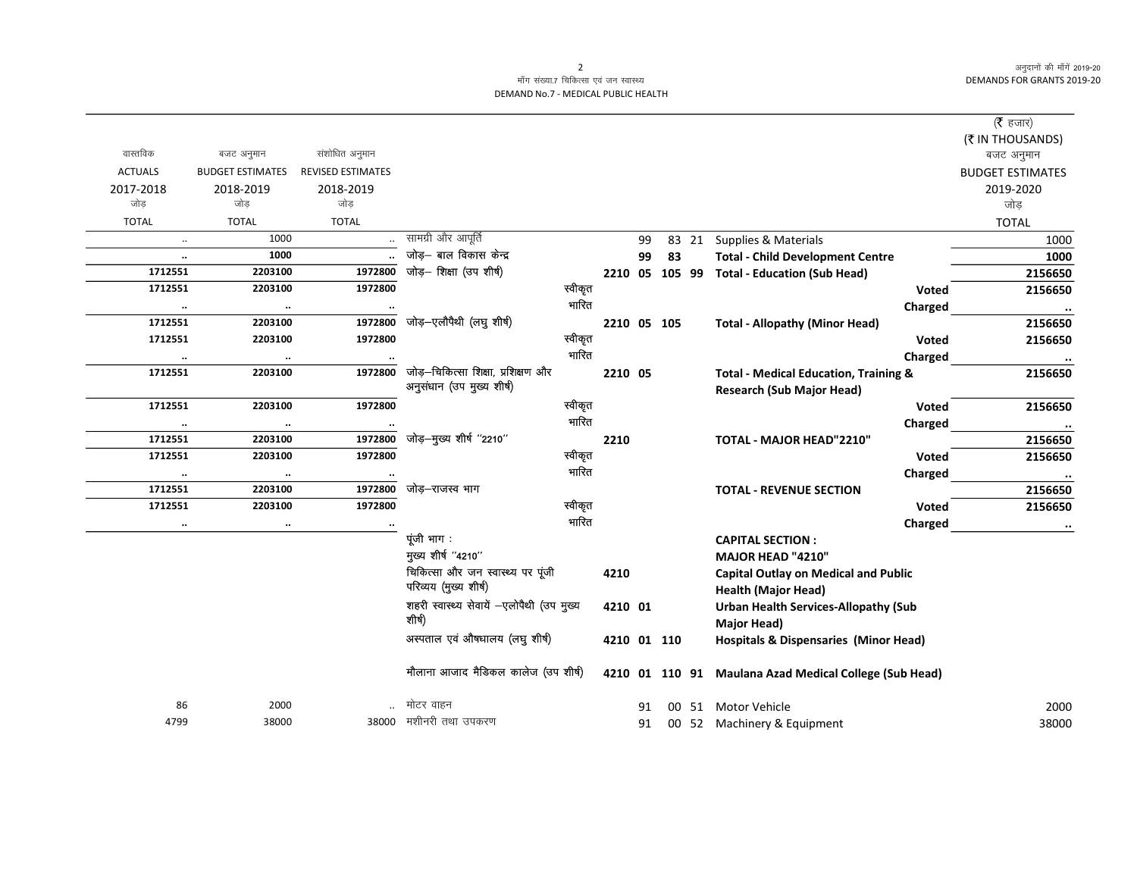अनुदानों की माँगें 2019-20 DEMANDS FOR GRANTS 2019-20

## माँग संख्या.7 चिकित्सा एवं जन स्वास्थ्य DEMAND No.7 - MEDICAL PUBLIC HEALTH

|                      |                         |                          |                                                                 |         |                |    |    |                                                                                      | ( <b>रै</b> हजार)       |
|----------------------|-------------------------|--------------------------|-----------------------------------------------------------------|---------|----------------|----|----|--------------------------------------------------------------------------------------|-------------------------|
|                      |                         |                          |                                                                 |         |                |    |    |                                                                                      | (₹ IN THOUSANDS)        |
| वास्तविक             | बजट अनुमान              | संशोधित अनुमान           |                                                                 |         |                |    |    |                                                                                      | बजट अनुमान              |
| <b>ACTUALS</b>       | <b>BUDGET ESTIMATES</b> | <b>REVISED ESTIMATES</b> |                                                                 |         |                |    |    |                                                                                      | <b>BUDGET ESTIMATES</b> |
| 2017-2018            | 2018-2019               | 2018-2019                |                                                                 |         |                |    |    |                                                                                      | 2019-2020               |
| जोड                  | जोड                     | जोड                      |                                                                 |         |                |    |    |                                                                                      | जोड                     |
| <b>TOTAL</b>         | <b>TOTAL</b>            | <b>TOTAL</b>             |                                                                 |         |                |    |    |                                                                                      | <b>TOTAL</b>            |
| $\ddotsc$            | 1000                    |                          | सामग्री और आपूर्ति                                              |         |                | 99 |    | 83 21 Supplies & Materials                                                           | 1000                    |
| $\ddot{\phantom{a}}$ | 1000                    |                          | जोड़— बाल विकास केन्द्र                                         |         |                | 99 | 83 | <b>Total - Child Development Centre</b>                                              | 1000                    |
| 1712551              | 2203100                 | 1972800                  | जोड़- शिक्षा (उप शीर्ष)                                         |         | 2210 05 105 99 |    |    | <b>Total - Education (Sub Head)</b>                                                  | 2156650                 |
| 1712551              | 2203100                 | 1972800                  |                                                                 | स्वीकृत |                |    |    | <b>Voted</b>                                                                         | 2156650                 |
| $\cdot$              | $\cdot\cdot$            |                          |                                                                 | भारित   |                |    |    | Charged                                                                              | $\cdots$                |
| 1712551              | 2203100                 | 1972800                  | जोड़-एलौपैथी (लघु शीर्ष)                                        |         | 2210 05 105    |    |    | <b>Total - Allopathy (Minor Head)</b>                                                | 2156650                 |
| 1712551              | 2203100                 | 1972800                  |                                                                 | स्वीकृत |                |    |    | Voted                                                                                | 2156650                 |
|                      | $\ddotsc$               |                          |                                                                 | भारित   |                |    |    | Charged                                                                              |                         |
| 1712551              | 2203100                 | 1972800                  | जोड़-चिकित्सा शिक्षा, प्रशिक्षण और<br>अनुसंधान (उप मुख्य शीर्ष) |         | 2210 05        |    |    | <b>Total - Medical Education, Training &amp;</b><br><b>Research (Sub Major Head)</b> | 2156650                 |
| 1712551              | 2203100                 | 1972800                  |                                                                 | स्वीकृत |                |    |    | <b>Voted</b>                                                                         | 2156650                 |
| $\cdot$              | $\cdot\cdot$            |                          |                                                                 | भारित   |                |    |    | Charged                                                                              | $\cdot\cdot$            |
| 1712551              | 2203100                 | 1972800                  | जोड़–मुख्य शीर्ष ''2210''                                       |         | 2210           |    |    | TOTAL - MAJOR HEAD"2210"                                                             | 2156650                 |
| 1712551              | 2203100                 | 1972800                  |                                                                 | स्वीकृत |                |    |    | <b>Voted</b>                                                                         | 2156650                 |
|                      | $\ldots$                |                          |                                                                 | भारित   |                |    |    | Charged                                                                              |                         |
| 1712551              | 2203100                 | 1972800                  | जोड़–राजस्व भाग                                                 |         |                |    |    | <b>TOTAL - REVENUE SECTION</b>                                                       | 2156650                 |
| 1712551              | 2203100                 | 1972800                  |                                                                 | स्वीकृत |                |    |    | Voted                                                                                | 2156650                 |
|                      | $\cdot\cdot$            |                          |                                                                 | भारित   |                |    |    | Charged                                                                              | $\cdots$                |
|                      |                         |                          | पूंजी भाग:                                                      |         |                |    |    | <b>CAPITAL SECTION:</b>                                                              |                         |
|                      |                         |                          | मुख्य शीर्ष "4210"                                              |         |                |    |    | <b>MAJOR HEAD "4210"</b>                                                             |                         |
|                      |                         |                          | चिकित्सा और जन स्वास्थ्य पर पूंजी                               |         | 4210           |    |    | <b>Capital Outlay on Medical and Public</b>                                          |                         |
|                      |                         |                          | परिव्यय (मुख्य शीर्ष)                                           |         |                |    |    | <b>Health (Major Head)</b>                                                           |                         |
|                      |                         |                          | शहरी स्वास्थ्य सेवायें -एलोपैथी (उप मुख्य                       |         | 4210 01        |    |    | <b>Urban Health Services-Allopathy (Sub</b>                                          |                         |
|                      |                         |                          | शीर्ष)                                                          |         |                |    |    | Major Head)                                                                          |                         |
|                      |                         |                          | अस्पताल एवं औषधालय (लघु शीर्ष)                                  |         | 4210 01 110    |    |    | <b>Hospitals &amp; Dispensaries (Minor Head)</b>                                     |                         |
|                      |                         |                          | मौलाना आजाद मैडिकल कालेज (उप शीर्ष)                             |         |                |    |    | 4210 01 110 91 Maulana Azad Medical College (Sub Head)                               |                         |
| 86                   | 2000                    |                          | मोटर वाहन                                                       |         |                | 91 |    | 00 51 Motor Vehicle                                                                  | 2000                    |
| 4799                 | 38000                   | 38000                    | मशीनरी तथा उपकरण                                                |         |                | 91 |    | 00 52 Machinery & Equipment                                                          | 38000                   |
|                      |                         |                          |                                                                 |         |                |    |    |                                                                                      |                         |